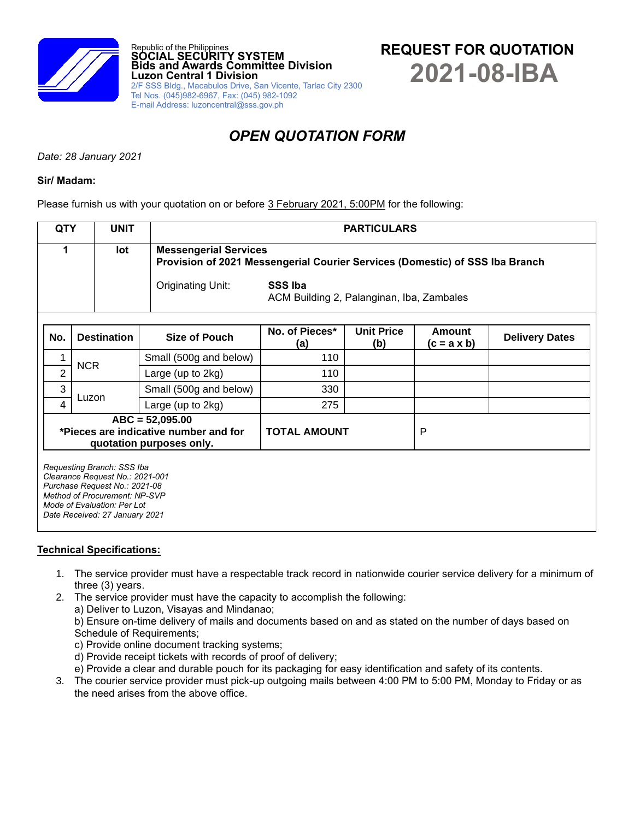

# *OPEN QUOTATION FORM*

*Date: 28 January 2021*

## **Sir/ Madam:**

Please furnish us with your quotation on or before 3 February 2021, 5:00PM for the following:

| <b>QTY</b>     | <b>UNIT</b>                                                                                                                                                                                      |  | <b>PARTICULARS</b>           |                                                                              |                          |                                     |                       |  |  |
|----------------|--------------------------------------------------------------------------------------------------------------------------------------------------------------------------------------------------|--|------------------------------|------------------------------------------------------------------------------|--------------------------|-------------------------------------|-----------------------|--|--|
|                | lot                                                                                                                                                                                              |  | <b>Messengerial Services</b> | Provision of 2021 Messengerial Courier Services (Domestic) of SSS Iba Branch |                          |                                     |                       |  |  |
|                |                                                                                                                                                                                                  |  | Originating Unit:            | <b>SSS Iba</b><br>ACM Building 2, Palanginan, Iba, Zambales                  |                          |                                     |                       |  |  |
| No.            | <b>Destination</b>                                                                                                                                                                               |  | Size of Pouch                | No. of Pieces*<br>(a)                                                        | <b>Unit Price</b><br>(b) | <b>Amount</b><br>$(c = a \times b)$ | <b>Delivery Dates</b> |  |  |
|                | <b>NCR</b>                                                                                                                                                                                       |  | Small (500g and below)       | 110                                                                          |                          |                                     |                       |  |  |
| $\overline{2}$ |                                                                                                                                                                                                  |  | Large (up to 2kg)            | 110                                                                          |                          |                                     |                       |  |  |
| 3              | Luzon                                                                                                                                                                                            |  | Small (500g and below)       | 330                                                                          |                          |                                     |                       |  |  |
| 4              |                                                                                                                                                                                                  |  | Large (up to 2kg)            | 275                                                                          |                          |                                     |                       |  |  |
|                | $ABC = 52,095.00$<br>*Pieces are indicative number and for<br>quotation purposes only.                                                                                                           |  |                              | <b>TOTAL AMOUNT</b>                                                          |                          | P                                   |                       |  |  |
|                | Requesting Branch: SSS Iba<br>Clearance Request No.: 2021-001<br>Purchase Request No.: 2021-08<br>Method of Procurement: NP-SVP<br>Mode of Evaluation: Per Lot<br>Date Received: 27 January 2021 |  |                              |                                                                              |                          |                                     |                       |  |  |

# **Technical Specifications:**

- 1. The service provider must have a respectable track record in nationwide courier service delivery for a minimum of three (3) years.
- 2. The service provider must have the capacity to accomplish the following:
	- a) Deliver to Luzon, Visayas and Mindanao;

b) Ensure on-time delivery of mails and documents based on and as stated on the number of days based on Schedule of Requirements;

- c) Provide online document tracking systems;
- d) Provide receipt tickets with records of proof of delivery;
- e) Provide a clear and durable pouch for its packaging for easy identification and safety of its contents.
- 3. The courier service provider must pick-up outgoing mails between 4:00 PM to 5:00 PM, Monday to Friday or as the need arises from the above office.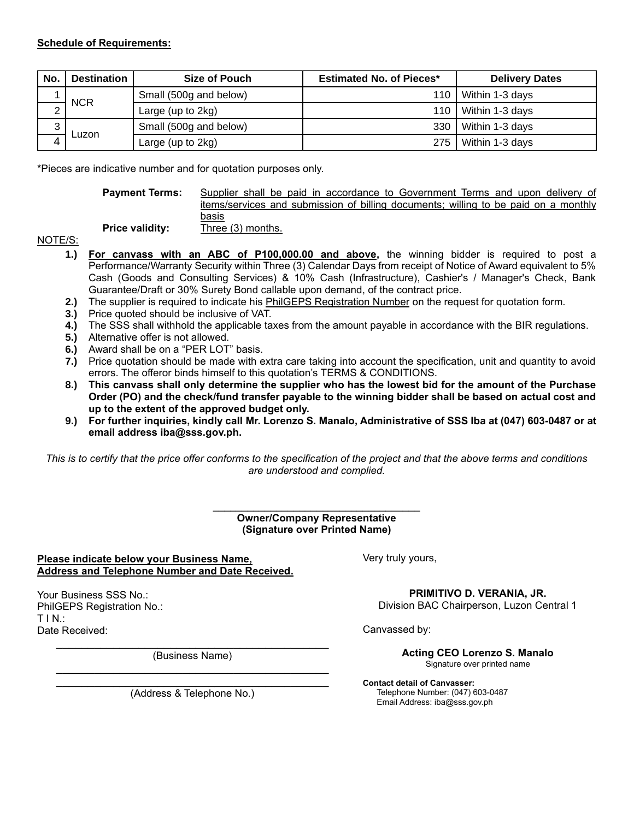| <b>No</b> | <b>Destination</b> | Size of Pouch          | <b>Estimated No. of Pieces*</b> | <b>Delivery Dates</b> |
|-----------|--------------------|------------------------|---------------------------------|-----------------------|
|           | <b>NCR</b>         | Small (500g and below) | 110                             | Within 1-3 days       |
|           |                    | Large (up to $2kg$ )   | 110                             | Within 1-3 days       |
| ົ<br>J    | Luzon              | Small (500g and below) | 330                             | Within 1-3 days       |
|           |                    | Large (up to 2kg)      | 275                             | Within 1-3 days       |

\*Pieces are indicative number and for quotation purposes only.

**Payment Terms:** Supplier shall be paid in accordance to Government Terms and upon delivery of items/services and submission of billing documents; willing to be paid on a monthly basis

**Price validity:** Three (3) months.

NOTE/S:

- **1.) For canvass with an ABC of P100,000.00 and above,** the winning bidder is required to post a Performance/Warranty Security within Three (3) Calendar Days from receipt of Notice of Award equivalent to 5% Cash (Goods and Consulting Services) & 10% Cash (Infrastructure), Cashier's / Manager's Check, Bank Guarantee/Draft or 30% Surety Bond callable upon demand, of the contract price.
- **2.)** The supplier is required to indicate his PhilGEPS Registration Number on the request for quotation form.
- **3.)** Price quoted should be inclusive of VAT.
- **4.)** The SSS shall withhold the applicable taxes from the amount payable in accordance with the BIR regulations.
- **5.)** Alternative offer is not allowed.
- **6.)** Award shall be on a "PER LOT" basis.
- **7.)** Price quotation should be made with extra care taking into account the specification, unit and quantity to avoid errors. The offeror binds himself to this quotation's TERMS & CONDITIONS.
- **8.) This canvass shall only determine the supplier who has the lowest bid for the amount of the Purchase Order (PO) and the check/fund transfer payable to the winning bidder shall be based on actual cost and up to the extent of the approved budget only.**
- **9.) For further inquiries, kindly call Mr. Lorenzo S. Manalo, Administrative of SSS Iba at (047) 603-0487 or at email address iba@sss.gov.ph.**

*This is to certify that the price offer conforms to the specification of the project and that the above terms and conditions are understood and complied.*

#### \_\_\_\_\_\_\_\_\_\_\_\_\_\_\_\_\_\_\_\_\_\_\_\_\_\_\_\_\_\_\_\_\_\_\_\_ **Owner/Company Representative (Signature over Printed Name)**

## **Please indicate below your Business Name, Address and Telephone Number and Date Received.**

Your Business SSS No.: PhilGEPS Registration No.:  $T IN$ .: Date Received:

> $\mathcal{L}_\text{max}$  , and the set of the set of the set of the set of the set of the set of the set of the set of the set of the set of the set of the set of the set of the set of the set of the set of the set of the set of the (Business Name)

> $\mathcal{L}_\text{max}$  , and the contract of the contract of the contract of the contract of the contract of the contract of the contract of the contract of the contract of the contract of the contract of the contract of the contr (Address & Telephone No.)

Very truly yours,

**PRIMITIVO D. VERANIA, JR.**

Division BAC Chairperson, Luzon Central 1

Canvassed by:

**Acting CEO Lorenzo S. Manalo** Signature over printed name

**Contact detail of Canvasser:** Telephone Number: (047) 603-0487 Email Address: iba@sss.gov.ph